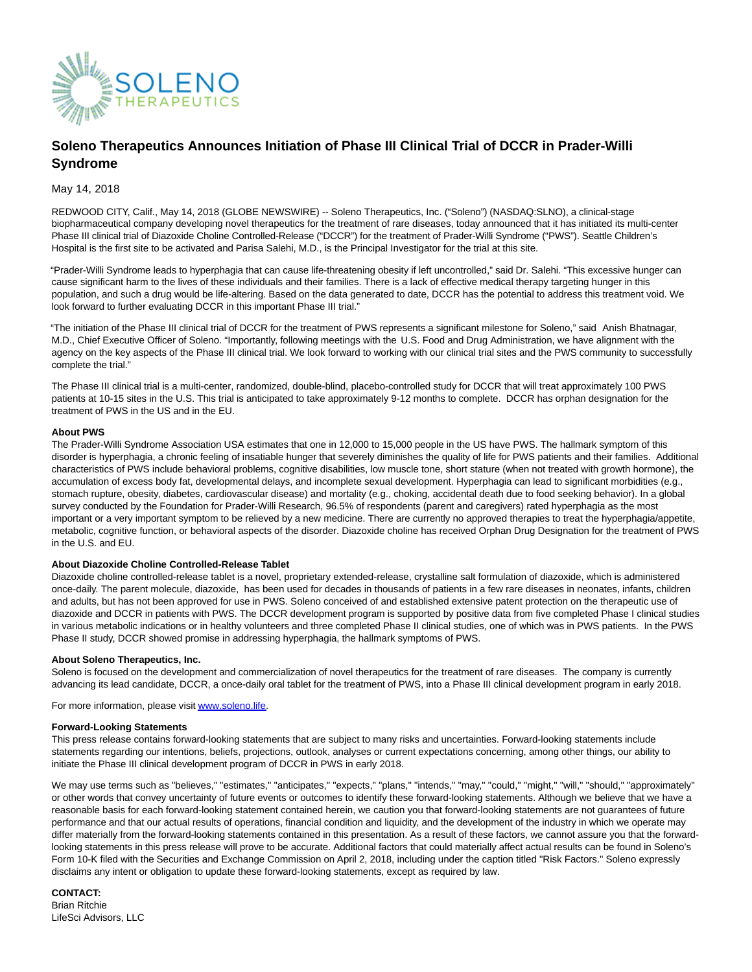

# **Soleno Therapeutics Announces Initiation of Phase III Clinical Trial of DCCR in Prader-Willi Syndrome**

# May 14, 2018

REDWOOD CITY, Calif., May 14, 2018 (GLOBE NEWSWIRE) -- Soleno Therapeutics, Inc. ("Soleno") (NASDAQ:SLNO), a clinical-stage biopharmaceutical company developing novel therapeutics for the treatment of rare diseases, today announced that it has initiated its multi-center Phase III clinical trial of Diazoxide Choline Controlled-Release ("DCCR") for the treatment of Prader-Willi Syndrome ("PWS"). Seattle Children's Hospital is the first site to be activated and Parisa Salehi, M.D., is the Principal Investigator for the trial at this site.

"Prader-Willi Syndrome leads to hyperphagia that can cause life-threatening obesity if left uncontrolled," said Dr. Salehi. "This excessive hunger can cause significant harm to the lives of these individuals and their families. There is a lack of effective medical therapy targeting hunger in this population, and such a drug would be life-altering. Based on the data generated to date, DCCR has the potential to address this treatment void. We look forward to further evaluating DCCR in this important Phase III trial."

"The initiation of the Phase III clinical trial of DCCR for the treatment of PWS represents a significant milestone for Soleno," said Anish Bhatnagar, M.D., Chief Executive Officer of Soleno. "Importantly, following meetings with the U.S. Food and Drug Administration, we have alignment with the agency on the key aspects of the Phase III clinical trial. We look forward to working with our clinical trial sites and the PWS community to successfully complete the trial."

The Phase III clinical trial is a multi-center, randomized, double-blind, placebo-controlled study for DCCR that will treat approximately 100 PWS patients at 10-15 sites in the U.S. This trial is anticipated to take approximately 9-12 months to complete. DCCR has orphan designation for the treatment of PWS in the US and in the EU.

### **About PWS**

The Prader-Willi Syndrome Association USA estimates that one in 12,000 to 15,000 people in the US have PWS. The hallmark symptom of this disorder is hyperphagia, a chronic feeling of insatiable hunger that severely diminishes the quality of life for PWS patients and their families. Additional characteristics of PWS include behavioral problems, cognitive disabilities, low muscle tone, short stature (when not treated with growth hormone), the accumulation of excess body fat, developmental delays, and incomplete sexual development. Hyperphagia can lead to significant morbidities (e.g., stomach rupture, obesity, diabetes, cardiovascular disease) and mortality (e.g., choking, accidental death due to food seeking behavior). In a global survey conducted by the Foundation for Prader-Willi Research, 96.5% of respondents (parent and caregivers) rated hyperphagia as the most important or a very important symptom to be relieved by a new medicine. There are currently no approved therapies to treat the hyperphagia/appetite, metabolic, cognitive function, or behavioral aspects of the disorder. Diazoxide choline has received Orphan Drug Designation for the treatment of PWS in the U.S. and EU.

#### **About Diazoxide Choline Controlled-Release Tablet**

Diazoxide choline controlled-release tablet is a novel, proprietary extended-release, crystalline salt formulation of diazoxide, which is administered once-daily. The parent molecule, diazoxide, has been used for decades in thousands of patients in a few rare diseases in neonates, infants, children and adults, but has not been approved for use in PWS. Soleno conceived of and established extensive patent protection on the therapeutic use of diazoxide and DCCR in patients with PWS. The DCCR development program is supported by positive data from five completed Phase I clinical studies in various metabolic indications or in healthy volunteers and three completed Phase II clinical studies, one of which was in PWS patients. In the PWS Phase II study, DCCR showed promise in addressing hyperphagia, the hallmark symptoms of PWS.

#### **About Soleno Therapeutics, Inc.**

Soleno is focused on the development and commercialization of novel therapeutics for the treatment of rare diseases. The company is currently advancing its lead candidate, DCCR, a once-daily oral tablet for the treatment of PWS, into a Phase III clinical development program in early 2018.

For more information, please visi[t www.soleno.life.](https://www.globenewswire.com/Tracker?data=Km8HRnclzjxNAUt8sJG4FeFmMiHjW4kerfIyBriYS0P9ccPC_Sf4s4PS7RznarKRZOH87DZj1RGkBnnOTnaoWQ==)

## **Forward-Looking Statements**

This press release contains forward-looking statements that are subject to many risks and uncertainties. Forward-looking statements include statements regarding our intentions, beliefs, projections, outlook, analyses or current expectations concerning, among other things, our ability to initiate the Phase III clinical development program of DCCR in PWS in early 2018.

We may use terms such as "believes," "estimates," "anticipates," "expects," "plans," "intends," "may," "could," "might," "will," "should," "approximately" or other words that convey uncertainty of future events or outcomes to identify these forward-looking statements. Although we believe that we have a reasonable basis for each forward-looking statement contained herein, we caution you that forward-looking statements are not guarantees of future performance and that our actual results of operations, financial condition and liquidity, and the development of the industry in which we operate may differ materially from the forward-looking statements contained in this presentation. As a result of these factors, we cannot assure you that the forwardlooking statements in this press release will prove to be accurate. Additional factors that could materially affect actual results can be found in Soleno's Form 10-K filed with the Securities and Exchange Commission on April 2, 2018, including under the caption titled "Risk Factors." Soleno expressly disclaims any intent or obligation to update these forward-looking statements, except as required by law.

**CONTACT:** Brian Ritchie LifeSci Advisors, LLC